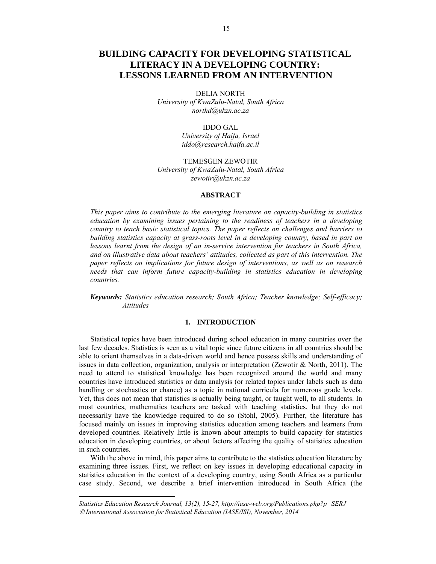# **BUILDING CAPACITY FOR DEVELOPING STATISTICAL LITERACY IN A DEVELOPING COUNTRY: LESSONS LEARNED FROM AN INTERVENTION**

DELIA NORTH *University of KwaZulu-Natal, South Africa northd@ukzn.ac.za* 

> IDDO GAL *University of Haifa, Israel iddo@research.haifa.ac.il*

TEMESGEN ZEWOTIR *University of KwaZulu-Natal, South Africa zewotir@ukzn.ac.za* 

## **ABSTRACT**

*This paper aims to contribute to the emerging literature on capacity-building in statistics education by examining issues pertaining to the readiness of teachers in a developing country to teach basic statistical topics. The paper reflects on challenges and barriers to building statistics capacity at grass-roots level in a developing country, based in part on lessons learnt from the design of an in-service intervention for teachers in South Africa, and on illustrative data about teachers' attitudes, collected as part of this intervention. The paper reflects on implications for future design of interventions, as well as on research needs that can inform future capacity-building in statistics education in developing countries.*

*Keywords: Statistics education research; South Africa; Teacher knowledge; Self-efficacy; Attitudes*

## **1. INTRODUCTION**

Statistical topics have been introduced during school education in many countries over the last few decades. Statistics is seen as a vital topic since future citizens in all countries should be able to orient themselves in a data-driven world and hence possess skills and understanding of issues in data collection, organization, analysis or interpretation (Zewotir & North, 2011). The need to attend to statistical knowledge has been recognized around the world and many countries have introduced statistics or data analysis (or related topics under labels such as data handling or stochastics or chance) as a topic in national curricula for numerous grade levels. Yet, this does not mean that statistics is actually being taught, or taught well, to all students. In most countries, mathematics teachers are tasked with teaching statistics, but they do not necessarily have the knowledge required to do so (Stohl, 2005). Further, the literature has focused mainly on issues in improving statistics education among teachers and learners from developed countries. Relatively little is known about attempts to build capacity for statistics education in developing countries, or about factors affecting the quality of statistics education in such countries.

With the above in mind, this paper aims to contribute to the statistics education literature by examining three issues. First, we reflect on key issues in developing educational capacity in statistics education in the context of a developing country, using South Africa as a particular case study. Second, we describe a brief intervention introduced in South Africa (the

 $\overline{a}$ 

*Statistics Education Research Journal, 13(2), 15-27, http://iase-web.org/Publications.php?p=SERJ International Association for Statistical Education (IASE/ISI), November, 2014*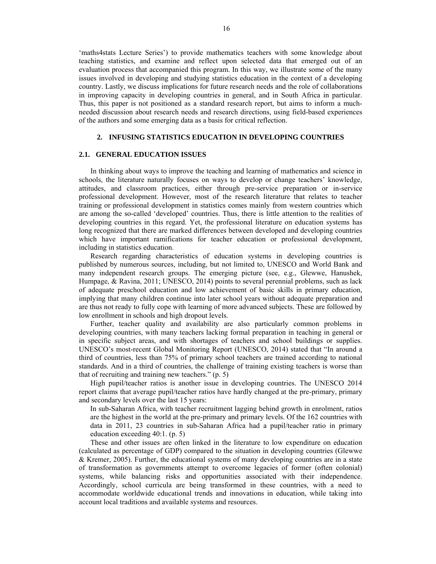'maths4stats Lecture Series') to provide mathematics teachers with some knowledge about teaching statistics, and examine and reflect upon selected data that emerged out of an evaluation process that accompanied this program. In this way, we illustrate some of the many issues involved in developing and studying statistics education in the context of a developing country. Lastly, we discuss implications for future research needs and the role of collaborations in improving capacity in developing countries in general, and in South Africa in particular. Thus, this paper is not positioned as a standard research report, but aims to inform a muchneeded discussion about research needs and research directions, using field-based experiences of the authors and some emerging data as a basis for critical reflection.

## **2. INFUSING STATISTICS EDUCATION IN DEVELOPING COUNTRIES**

## **2.1. GENERAL EDUCATION ISSUES**

In thinking about ways to improve the teaching and learning of mathematics and science in schools, the literature naturally focuses on ways to develop or change teachers' knowledge, attitudes, and classroom practices, either through pre-service preparation or in-service professional development. However, most of the research literature that relates to teacher training or professional development in statistics comes mainly from western countries which are among the so-called 'developed' countries. Thus, there is little attention to the realities of developing countries in this regard. Yet, the professional literature on education systems has long recognized that there are marked differences between developed and developing countries which have important ramifications for teacher education or professional development, including in statistics education.

Research regarding characteristics of education systems in developing countries is published by numerous sources, including, but not limited to, UNESCO and World Bank and many independent research groups. The emerging picture (see, e.g., Glewwe, Hanushek, Humpage, & Ravina, 2011; UNESCO, 2014) points to several perennial problems, such as lack of adequate preschool education and low achievement of basic skills in primary education, implying that many children continue into later school years without adequate preparation and are thus not ready to fully cope with learning of more advanced subjects. These are followed by low enrollment in schools and high dropout levels.

Further, teacher quality and availability are also particularly common problems in developing countries, with many teachers lacking formal preparation in teaching in general or in specific subject areas, and with shortages of teachers and school buildings or supplies. UNESCO's most-recent Global Monitoring Report (UNESCO, 2014) stated that "In around a third of countries, less than 75% of primary school teachers are trained according to national standards. And in a third of countries, the challenge of training existing teachers is worse than that of recruiting and training new teachers." (p. 5)

High pupil/teacher ratios is another issue in developing countries. The UNESCO 2014 report claims that average pupil/teacher ratios have hardly changed at the pre-primary, primary and secondary levels over the last 15 years:

In sub-Saharan Africa, with teacher recruitment lagging behind growth in enrolment, ratios are the highest in the world at the pre-primary and primary levels. Of the 162 countries with data in 2011, 23 countries in sub-Saharan Africa had a pupil/teacher ratio in primary education exceeding 40:1. (p. 5)

These and other issues are often linked in the literature to low expenditure on education (calculated as percentage of GDP) compared to the situation in developing countries (Glewwe & Kremer, 2005). Further, the educational systems of many developing countries are in a state of transformation as governments attempt to overcome legacies of former (often colonial) systems, while balancing risks and opportunities associated with their independence. Accordingly, school curricula are being transformed in these countries, with a need to accommodate worldwide educational trends and innovations in education, while taking into account local traditions and available systems and resources.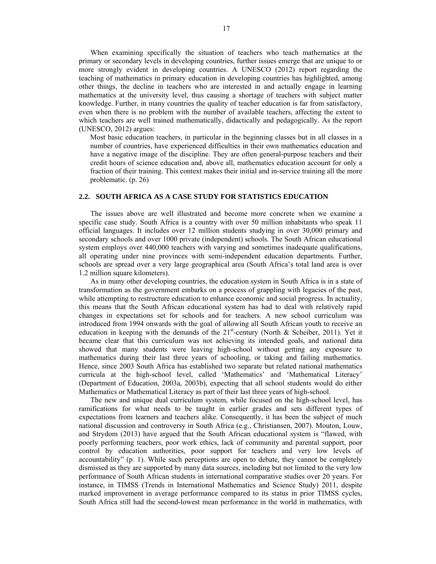When examining specifically the situation of teachers who teach mathematics at the primary or secondary levels in developing countries, further issues emerge that are unique to or more strongly evident in developing countries. A UNESCO (2012) report regarding the teaching of mathematics in primary education in developing countries has highlighted, among other things, the decline in teachers who are interested in and actually engage in learning mathematics at the university level, thus causing a shortage of teachers with subject matter knowledge. Further, in many countries the quality of teacher education is far from satisfactory, even when there is no problem with the number of available teachers, affecting the extent to which teachers are well trained mathematically, didactically and pedagogically. As the report (UNESCO, 2012) argues:

Most basic education teachers, in particular in the beginning classes but in all classes in a number of countries, have experienced difficulties in their own mathematics education and have a negative image of the discipline. They are often general-purpose teachers and their credit hours of science education and, above all, mathematics education account for only a fraction of their training. This context makes their initial and in-service training all the more problematic. (p. 26)

## **2.2. SOUTH AFRICA AS A CASE STUDY FOR STATISTICS EDUCATION**

The issues above are well illustrated and become more concrete when we examine a specific case study. South Africa is a country with over 50 million inhabitants who speak 11 official languages. It includes over 12 million students studying in over 30,000 primary and secondary schools and over 1000 private (independent) schools. The South African educational system employs over 440,000 teachers with varying and sometimes inadequate qualifications, all operating under nine provinces with semi-independent education departments. Further, schools are spread over a very large geographical area (South Africa's total land area is over 1.2 million square kilometers).

As in many other developing countries, the education system in South Africa is in a state of transformation as the government embarks on a process of grappling with legacies of the past, while attempting to restructure education to enhance economic and social progress. In actuality, this means that the South African educational system has had to deal with relatively rapid changes in expectations set for schools and for teachers. A new school curriculum was introduced from 1994 onwards with the goal of allowing all South African youth to receive an education in keeping with the demands of the  $21^{st}$ -century (North & Scheiber, 2011). Yet it became clear that this curriculum was not achieving its intended goals, and national data showed that many students were leaving high-school without getting any exposure to mathematics during their last three years of schooling, or taking and failing mathematics. Hence, since 2003 South Africa has established two separate but related national mathematics curricula at the high-school level, called 'Mathematics' and 'Mathematical Literacy' (Department of Education, 2003a, 2003b), expecting that all school students would do either Mathematics or Mathematical Literacy as part of their last three years of high-school.

The new and unique dual curriculum system, while focused on the high-school level, has ramifications for what needs to be taught in earlier grades and sets different types of expectations from learners and teachers alike. Consequently, it has been the subject of much national discussion and controversy in South Africa (e.g., Christiansen, 2007). Mouton, Louw, and Strydom (2013) have argued that the South African educational system is "flawed, with poorly performing teachers, poor work ethics, lack of community and parental support, poor control by education authorities, poor support for teachers and very low levels of accountability" (p. 1). While such perceptions are open to debate, they cannot be completely dismissed as they are supported by many data sources, including but not limited to the very low performance of South African students in international comparative studies over 20 years. For instance, in TIMSS (Trends in International Mathematics and Science Study) 2011, despite marked improvement in average performance compared to its status in prior TIMSS cycles, South Africa still had the second-lowest mean performance in the world in mathematics, with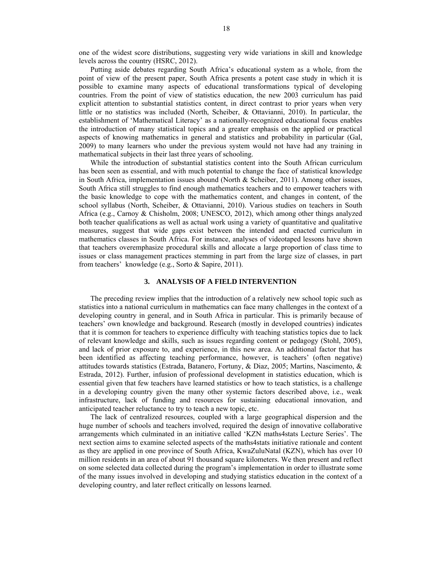one of the widest score distributions, suggesting very wide variations in skill and knowledge levels across the country (HSRC, 2012).

Putting aside debates regarding South Africa's educational system as a whole, from the point of view of the present paper, South Africa presents a potent case study in which it is possible to examine many aspects of educational transformations typical of developing countries. From the point of view of statistics education, the new 2003 curriculum has paid explicit attention to substantial statistics content, in direct contrast to prior years when very little or no statistics was included (North, Scheiber, & Ottavianni, 2010). In particular, the establishment of 'Mathematical Literacy' as a nationally-recognized educational focus enables the introduction of many statistical topics and a greater emphasis on the applied or practical aspects of knowing mathematics in general and statistics and probability in particular (Gal, 2009) to many learners who under the previous system would not have had any training in mathematical subjects in their last three years of schooling.

While the introduction of substantial statistics content into the South African curriculum has been seen as essential, and with much potential to change the face of statistical knowledge in South Africa, implementation issues abound (North & Scheiber, 2011). Among other issues, South Africa still struggles to find enough mathematics teachers and to empower teachers with the basic knowledge to cope with the mathematics content, and changes in content, of the school syllabus (North, Scheiber, & Ottavianni, 2010). Various studies on teachers in South Africa (e.g., Carnoy & Chisholm, 2008; UNESCO, 2012), which among other things analyzed both teacher qualifications as well as actual work using a variety of quantitative and qualitative measures, suggest that wide gaps exist between the intended and enacted curriculum in mathematics classes in South Africa. For instance, analyses of videotaped lessons have shown that teachers overemphasize procedural skills and allocate a large proportion of class time to issues or class management practices stemming in part from the large size of classes, in part from teachers' knowledge (e.g., Sorto & Sapire, 2011).

## **3. ANALYSIS OF A FIELD INTERVENTION**

The preceding review implies that the introduction of a relatively new school topic such as statistics into a national curriculum in mathematics can face many challenges in the context of a developing country in general, and in South Africa in particular. This is primarily because of teachers' own knowledge and background. Research (mostly in developed countries) indicates that it is common for teachers to experience difficulty with teaching statistics topics due to lack of relevant knowledge and skills, such as issues regarding content or pedagogy (Stohl, 2005), and lack of prior exposure to, and experience, in this new area. An additional factor that has been identified as affecting teaching performance, however, is teachers' (often negative) attitudes towards statistics (Estrada, Batanero, Fortuny, & Diaz, 2005; Martins, Nascimento, & Estrada, 2012). Further, infusion of professional development in statistics education, which is essential given that few teachers have learned statistics or how to teach statistics, is a challenge in a developing country given the many other systemic factors described above, i.e., weak infrastructure, lack of funding and resources for sustaining educational innovation, and anticipated teacher reluctance to try to teach a new topic, etc.

The lack of centralized resources, coupled with a large geographical dispersion and the huge number of schools and teachers involved, required the design of innovative collaborative arrangements which culminated in an initiative called 'KZN maths4stats Lecture Series'. The next section aims to examine selected aspects of the maths4stats initiative rationale and content as they are applied in one province of South Africa, KwaZuluNatal (KZN), which has over 10 million residents in an area of about 91 thousand square kilometers. We then present and reflect on some selected data collected during the program's implementation in order to illustrate some of the many issues involved in developing and studying statistics education in the context of a developing country, and later reflect critically on lessons learned.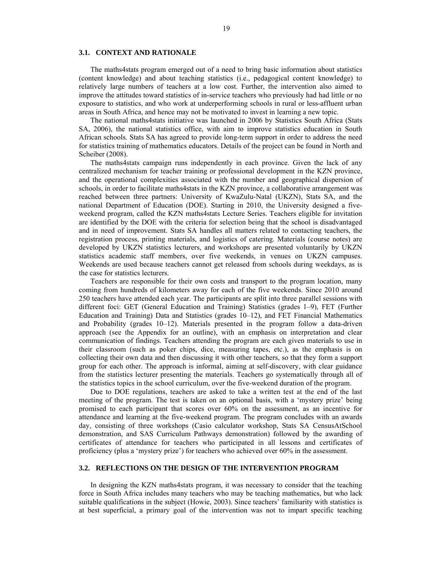#### **3.1. CONTEXT AND RATIONALE**

The maths4stats program emerged out of a need to bring basic information about statistics (content knowledge) and about teaching statistics (i.e., pedagogical content knowledge) to relatively large numbers of teachers at a low cost. Further, the intervention also aimed to improve the attitudes toward statistics of in-service teachers who previously had had little or no exposure to statistics, and who work at underperforming schools in rural or less-affluent urban areas in South Africa, and hence may not be motivated to invest in learning a new topic.

The national maths4stats initiative was launched in 2006 by Statistics South Africa (Stats SA, 2006), the national statistics office, with aim to improve statistics education in South African schools. Stats SA has agreed to provide long-term support in order to address the need for statistics training of mathematics educators. Details of the project can be found in North and Scheiber (2008).

The maths4stats campaign runs independently in each province. Given the lack of any centralized mechanism for teacher training or professional development in the KZN province, and the operational complexities associated with the number and geographical dispersion of schools, in order to facilitate maths4stats in the KZN province, a collaborative arrangement was reached between three partners: University of KwaZulu-Natal (UKZN), Stats SA, and the national Department of Education (DOE). Starting in 2010, the University designed a fiveweekend program, called the KZN maths4stats Lecture Series. Teachers eligible for invitation are identified by the DOE with the criteria for selection being that the school is disadvantaged and in need of improvement. Stats SA handles all matters related to contacting teachers, the registration process, printing materials, and logistics of catering. Materials (course notes) are developed by UKZN statistics lecturers, and workshops are presented voluntarily by UKZN statistics academic staff members, over five weekends, in venues on UKZN campuses. Weekends are used because teachers cannot get released from schools during weekdays, as is the case for statistics lecturers.

Teachers are responsible for their own costs and transport to the program location, many coming from hundreds of kilometers away for each of the five weekends. Since 2010 around 250 teachers have attended each year. The participants are split into three parallel sessions with different foci: GET (General Education and Training) Statistics (grades 1–9), FET (Further Education and Training) Data and Statistics (grades 10–12), and FET Financial Mathematics and Probability (grades 10–12). Materials presented in the program follow a data-driven approach (see the Appendix for an outline), with an emphasis on interpretation and clear communication of findings. Teachers attending the program are each given materials to use in their classroom (such as poker chips, dice, measuring tapes, etc.), as the emphasis is on collecting their own data and then discussing it with other teachers, so that they form a support group for each other. The approach is informal, aiming at self-discovery, with clear guidance from the statistics lecturer presenting the materials. Teachers go systematically through all of the statistics topics in the school curriculum, over the five-weekend duration of the program.

Due to DOE regulations, teachers are asked to take a written test at the end of the last meeting of the program. The test is taken on an optional basis, with a 'mystery prize' being promised to each participant that scores over 60% on the assessment, as an incentive for attendance and learning at the five-weekend program. The program concludes with an awards day, consisting of three workshops (Casio calculator workshop, Stats SA CensusAtSchool demonstration, and SAS Curriculum Pathways demonstration) followed by the awarding of certificates of attendance for teachers who participated in all lessons and certificates of proficiency (plus a 'mystery prize') for teachers who achieved over 60% in the assessment.

## **3.2. REFLECTIONS ON THE DESIGN OF THE INTERVENTION PROGRAM**

In designing the KZN maths4stats program, it was necessary to consider that the teaching force in South Africa includes many teachers who may be teaching mathematics, but who lack suitable qualifications in the subject (Howie, 2003). Since teachers' familiarity with statistics is at best superficial, a primary goal of the intervention was not to impart specific teaching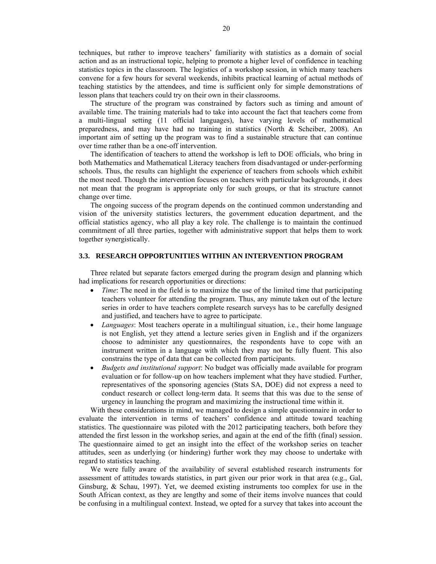techniques, but rather to improve teachers' familiarity with statistics as a domain of social action and as an instructional topic, helping to promote a higher level of confidence in teaching statistics topics in the classroom. The logistics of a workshop session, in which many teachers convene for a few hours for several weekends, inhibits practical learning of actual methods of teaching statistics by the attendees, and time is sufficient only for simple demonstrations of lesson plans that teachers could try on their own in their classrooms.

The structure of the program was constrained by factors such as timing and amount of available time. The training materials had to take into account the fact that teachers come from a multi-lingual setting (11 official languages), have varying levels of mathematical preparedness, and may have had no training in statistics (North & Scheiber, 2008). An important aim of setting up the program was to find a sustainable structure that can continue over time rather than be a one-off intervention.

The identification of teachers to attend the workshop is left to DOE officials, who bring in both Mathematics and Mathematical Literacy teachers from disadvantaged or under-performing schools. Thus, the results can highlight the experience of teachers from schools which exhibit the most need. Though the intervention focuses on teachers with particular backgrounds, it does not mean that the program is appropriate only for such groups, or that its structure cannot change over time.

The ongoing success of the program depends on the continued common understanding and vision of the university statistics lecturers, the government education department, and the official statistics agency, who all play a key role. The challenge is to maintain the continued commitment of all three parties, together with administrative support that helps them to work together synergistically.

## **3.3. RESEARCH OPPORTUNITIES WITHIN AN INTERVENTION PROGRAM**

Three related but separate factors emerged during the program design and planning which had implications for research opportunities or directions:

- *Time*: The need in the field is to maximize the use of the limited time that participating teachers volunteer for attending the program. Thus, any minute taken out of the lecture series in order to have teachers complete research surveys has to be carefully designed and justified, and teachers have to agree to participate.
- *Languages*: Most teachers operate in a multilingual situation, i.e., their home language is not English, yet they attend a lecture series given in English and if the organizers choose to administer any questionnaires, the respondents have to cope with an instrument written in a language with which they may not be fully fluent. This also constrains the type of data that can be collected from participants.
- *Budgets and institutional support*: No budget was officially made available for program evaluation or for follow-up on how teachers implement what they have studied. Further, representatives of the sponsoring agencies (Stats SA, DOE) did not express a need to conduct research or collect long-term data. It seems that this was due to the sense of urgency in launching the program and maximizing the instructional time within it.

With these considerations in mind, we managed to design a simple questionnaire in order to evaluate the intervention in terms of teachers' confidence and attitude toward teaching statistics. The questionnaire was piloted with the 2012 participating teachers, both before they attended the first lesson in the workshop series, and again at the end of the fifth (final) session. The questionnaire aimed to get an insight into the effect of the workshop series on teacher attitudes, seen as underlying (or hindering) further work they may choose to undertake with regard to statistics teaching.

We were fully aware of the availability of several established research instruments for assessment of attitudes towards statistics, in part given our prior work in that area (e.g., Gal, Ginsburg, & Schau, 1997). Yet, we deemed existing instruments too complex for use in the South African context, as they are lengthy and some of their items involve nuances that could be confusing in a multilingual context. Instead, we opted for a survey that takes into account the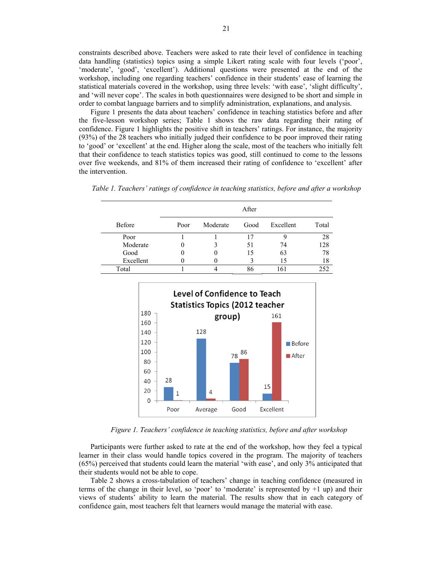constraints described above. Teachers were asked to rate their level of confidence in teaching data handling (statistics) topics using a simple Likert rating scale with four levels ('poor', 'moderate', 'good', 'excellent'). Additional questions were presented at the end of the workshop, including one regarding teachers' confidence in their students' ease of learning the statistical materials covered in the workshop, using three levels: 'with ease', 'slight difficulty', and 'will never cope'. The scales in both questionnaires were designed to be short and simple in order to combat language barriers and to simplify administration, explanations, and analysis.

Figure 1 presents the data about teachers' confidence in teaching statistics before and after the five-lesson workshop series; Table 1 shows the raw data regarding their rating of confidence. Figure 1 highlights the positive shift in teachers' ratings. For instance, the majority (93%) of the 28 teachers who initially judged their confidence to be poor improved their rating to 'good' or 'excellent' at the end. Higher along the scale, most of the teachers who initially felt that their confidence to teach statistics topics was good, still continued to come to the lessons over five weekends, and 81% of them increased their rating of confidence to 'excellent' after the intervention.

| After |          |      |           |       |  |
|-------|----------|------|-----------|-------|--|
| Poor  | Moderate | Good | Excellent | Total |  |
|       |          | 17   |           | 28    |  |
|       |          | 51   | 74        | 128   |  |
|       |          | 15   | 63        | 78    |  |
|       |          |      | 15        | 18    |  |
|       |          | 86   | 161       | 252   |  |
|       |          |      |           |       |  |

*Table 1. Teachers' ratings of confidence in teaching statistics, before and after a workshop* 



 *Figure 1. Teachers' confidence in teaching statistics, before and after workshop* 

Participants were further asked to rate at the end of the workshop, how they feel a typical learner in their class would handle topics covered in the program. The majority of teachers (65%) perceived that students could learn the material 'with ease', and only 3% anticipated that their students would not be able to cope.

Table 2 shows a cross-tabulation of teachers' change in teaching confidence (measured in terms of the change in their level, so 'poor' to 'moderate' is represented by +1 up) and their views of students' ability to learn the material. The results show that in each category of confidence gain, most teachers felt that learners would manage the material with ease.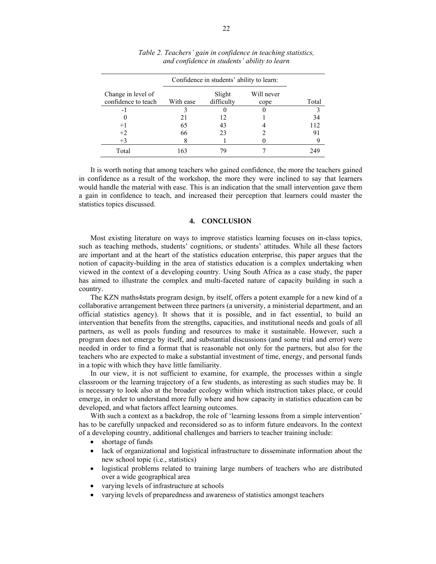|                                           | Confidence in students' ability to learn: |                      |                    |       |
|-------------------------------------------|-------------------------------------------|----------------------|--------------------|-------|
| Change in level of<br>confidence to teach | With ease                                 | Slight<br>difficulty | Will never<br>cope | Total |
| - 1                                       |                                           |                      |                    |       |
|                                           | 21                                        | 12                   |                    | 34    |
| $+1$                                      | 65                                        | 43                   |                    | 112   |
| $+2$                                      | 66                                        | 23                   |                    | 91    |
| $+3$                                      | 8                                         |                      |                    |       |
| Total                                     | 163                                       |                      |                    | 249   |

*Table 2. Teachers' gain in confidence in teaching statistics, and confidence in students' ability to learn* 

It is worth noting that among teachers who gained confidence, the more the teachers gained in confidence as a result of the workshop, the more they were inclined to say that learners would handle the material with ease. This is an indication that the small intervention gave them a gain in confidence to teach, and increased their perception that learners could master the statistics topics discussed.

## **4. CONCLUSION**

Most existing literature on ways to improve statistics learning focuses on in-class topics, such as teaching methods, students' cognitions, or students' attitudes. While all these factors are important and at the heart of the statistics education enterprise, this paper argues that the notion of capacity-building in the area of statistics education is a complex undertaking when viewed in the context of a developing country. Using South Africa as a case study, the paper has aimed to illustrate the complex and multi-faceted nature of capacity building in such a country.

The KZN maths4stats program design, by itself, offers a potent example for a new kind of a collaborative arrangement between three partners (a university, a ministerial department, and an official statistics agency). It shows that it is possible, and in fact essential, to build an intervention that benefits from the strengths, capacities, and institutional needs and goals of all partners, as well as pools funding and resources to make it sustainable. However, such a program does not emerge by itself, and substantial discussions (and some trial and error) were needed in order to find a format that is reasonable not only for the partners, but also for the teachers who are expected to make a substantial investment of time, energy, and personal funds in a topic with which they have little familiarity.

In our view, it is not sufficient to examine, for example, the processes within a single classroom or the learning trajectory of a few students, as interesting as such studies may be. It is necessary to look also at the broader ecology within which instruction takes place, or could emerge, in order to understand more fully where and how capacity in statistics education can be developed, and what factors affect learning outcomes.

With such a context as a backdrop, the role of 'learning lessons from a simple intervention' has to be carefully unpacked and reconsidered so as to inform future endeavors. In the context of a developing country, additional challenges and barriers to teacher training include:

- shortage of funds
- lack of organizational and logistical infrastructure to disseminate information about the new school topic (i.e., statistics)
- logistical problems related to training large numbers of teachers who are distributed over a wide geographical area
- varying levels of infrastructure at schools
- varying levels of preparedness and awareness of statistics amongst teachers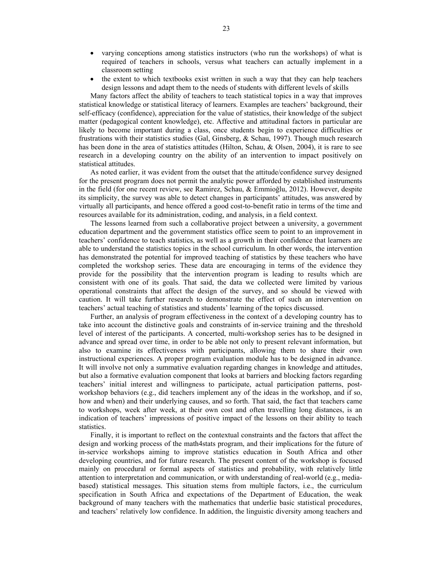- varying conceptions among statistics instructors (who run the workshops) of what is required of teachers in schools, versus what teachers can actually implement in a classroom setting
- the extent to which textbooks exist written in such a way that they can help teachers design lessons and adapt them to the needs of students with different levels of skills

Many factors affect the ability of teachers to teach statistical topics in a way that improves statistical knowledge or statistical literacy of learners. Examples are teachers' background, their self-efficacy (confidence), appreciation for the value of statistics, their knowledge of the subject matter (pedagogical content knowledge), etc. Affective and attitudinal factors in particular are likely to become important during a class, once students begin to experience difficulties or frustrations with their statistics studies (Gal, Ginsberg, & Schau, 1997). Though much research has been done in the area of statistics attitudes (Hilton, Schau, & Olsen, 2004), it is rare to see research in a developing country on the ability of an intervention to impact positively on statistical attitudes.

As noted earlier, it was evident from the outset that the attitude/confidence survey designed for the present program does not permit the analytic power afforded by established instruments in the field (for one recent review, see Ramirez, Schau, & Emmioğlu, 2012). However, despite its simplicity, the survey was able to detect changes in participants' attitudes, was answered by virtually all participants, and hence offered a good cost-to-benefit ratio in terms of the time and resources available for its administration, coding, and analysis, in a field context.

The lessons learned from such a collaborative project between a university, a government education department and the government statistics office seem to point to an improvement in teachers' confidence to teach statistics, as well as a growth in their confidence that learners are able to understand the statistics topics in the school curriculum. In other words, the intervention has demonstrated the potential for improved teaching of statistics by these teachers who have completed the workshop series. These data are encouraging in terms of the evidence they provide for the possibility that the intervention program is leading to results which are consistent with one of its goals. That said, the data we collected were limited by various operational constraints that affect the design of the survey, and so should be viewed with caution. It will take further research to demonstrate the effect of such an intervention on teachers' actual teaching of statistics and students' learning of the topics discussed.

Further, an analysis of program effectiveness in the context of a developing country has to take into account the distinctive goals and constraints of in-service training and the threshold level of interest of the participants. A concerted, multi-workshop series has to be designed in advance and spread over time, in order to be able not only to present relevant information, but also to examine its effectiveness with participants, allowing them to share their own instructional experiences. A proper program evaluation module has to be designed in advance. It will involve not only a summative evaluation regarding changes in knowledge and attitudes, but also a formative evaluation component that looks at barriers and blocking factors regarding teachers' initial interest and willingness to participate, actual participation patterns, postworkshop behaviors (e.g., did teachers implement any of the ideas in the workshop, and if so, how and when) and their underlying causes, and so forth. That said, the fact that teachers came to workshops, week after week, at their own cost and often travelling long distances, is an indication of teachers' impressions of positive impact of the lessons on their ability to teach statistics.

Finally, it is important to reflect on the contextual constraints and the factors that affect the design and working process of the math4stats program, and their implications for the future of in-service workshops aiming to improve statistics education in South Africa and other developing countries, and for future research. The present content of the workshop is focused mainly on procedural or formal aspects of statistics and probability, with relatively little attention to interpretation and communication, or with understanding of real-world (e.g., mediabased) statistical messages. This situation stems from multiple factors, i.e., the curriculum specification in South Africa and expectations of the Department of Education, the weak background of many teachers with the mathematics that underlie basic statistical procedures, and teachers' relatively low confidence. In addition, the linguistic diversity among teachers and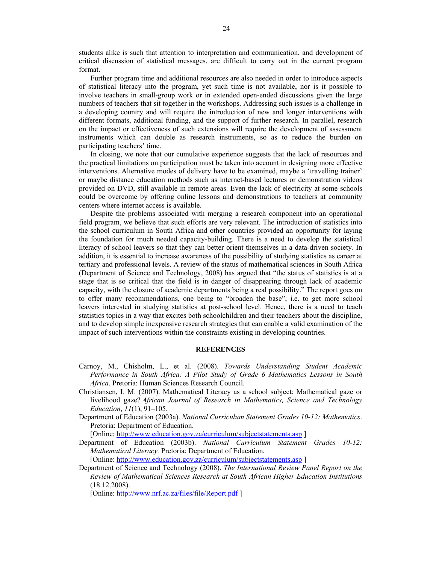students alike is such that attention to interpretation and communication, and development of critical discussion of statistical messages, are difficult to carry out in the current program format.

Further program time and additional resources are also needed in order to introduce aspects of statistical literacy into the program, yet such time is not available, nor is it possible to involve teachers in small-group work or in extended open-ended discussions given the large numbers of teachers that sit together in the workshops. Addressing such issues is a challenge in a developing country and will require the introduction of new and longer interventions with different formats, additional funding, and the support of further research. In parallel, research on the impact or effectiveness of such extensions will require the development of assessment instruments which can double as research instruments, so as to reduce the burden on participating teachers' time.

In closing, we note that our cumulative experience suggests that the lack of resources and the practical limitations on participation must be taken into account in designing more effective interventions. Alternative modes of delivery have to be examined, maybe a 'travelling trainer' or maybe distance education methods such as internet-based lectures or demonstration videos provided on DVD, still available in remote areas. Even the lack of electricity at some schools could be overcome by offering online lessons and demonstrations to teachers at community centers where internet access is available.

Despite the problems associated with merging a research component into an operational field program, we believe that such efforts are very relevant. The introduction of statistics into the school curriculum in South Africa and other countries provided an opportunity for laying the foundation for much needed capacity-building. There is a need to develop the statistical literacy of school leavers so that they can better orient themselves in a data-driven society. In addition, it is essential to increase awareness of the possibility of studying statistics as career at tertiary and professional levels. A review of the status of mathematical sciences in South Africa (Department of Science and Technology, 2008) has argued that "the status of statistics is at a stage that is so critical that the field is in danger of disappearing through lack of academic capacity, with the closure of academic departments being a real possibility." The report goes on to offer many recommendations, one being to "broaden the base", i.e. to get more school leavers interested in studying statistics at post-school level. Hence, there is a need to teach statistics topics in a way that excites both schoolchildren and their teachers about the discipline, and to develop simple inexpensive research strategies that can enable a valid examination of the impact of such interventions within the constraints existing in developing countries.

#### **REFERENCES**

- Carnoy, M., Chisholm, L., et al. (2008). *Towards Understanding Student Academic Performance in South Africa: A Pilot Study of Grade 6 Mathematics Lessons in South Africa*. Pretoria: Human Sciences Research Council.
- Christiansen, I. M. (2007). Mathematical Literacy as a school subject: Mathematical gaze or livelihood gaze? *African Journal of Research in Mathematics, Science and Technology Education*, *11*(1), 91–105.
- Department of Education (2003a). *National Curriculum Statement Grades 10-12: Mathematics*. Pretoria: Department of Education.

[Online: http://www.education.gov.za/curriculum/subjectstatements.asp]

Department of Education (2003b). *National Curriculum Statement Grades 10-12: Mathematical Literacy.* Pretoria: Department of Education.

[Online: http://www.education.gov.za/curriculum/subjectstatements.asp]

Department of Science and Technology (2008). *The International Review Panel Report on the Review of Mathematical Sciences Research at South African Higher Education Institutions* (18.12.2008).

[Online: http://www.nrf.ac.za/files/file/Report.pdf ]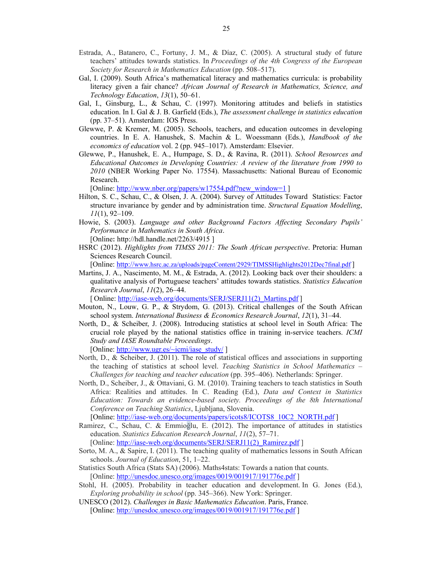- Estrada, A., Batanero, C., Fortuny, J. M., & Díaz, C. (2005). A structural study of future teachers' attitudes towards statistics. In *Proceedings of the 4th Congress of the European Society for Research in Mathematics Education* (pp. 508–517).
- Gal, I. (2009). South Africa's mathematical literacy and mathematics curricula: is probability literacy given a fair chance? *African Journal of Research in Mathematics, Science, and Technology Education*, *13*(1), 50–61.
- Gal, I., Ginsburg, L., & Schau, C. (1997). Monitoring attitudes and beliefs in statistics education. In I. Gal & J. B. Garfield (Eds.), *The assessment challenge in statistics education* (pp. 37–51). Amsterdam: IOS Press.
- Glewwe, P. & Kremer, M. (2005). Schools, teachers, and education outcomes in developing countries. In E. A. Hanushek, S. Machin & L. Woessmann (Eds.), *Handbook of the economics of education* vol. 2 (pp. 945–1017). Amsterdam: Elsevier.
- Glewwe, P., Hanushek, E. A., Humpage, S. D., & Ravina, R. (2011). *School Resources and Educational Outcomes in Developing Countries: A review of the literature from 1990 to 2010* (NBER Working Paper No. 17554). Massachusetts: National Bureau of Economic Research.

[Online: http://www.nber.org/papers/w17554.pdf?new\_window=1 ]

- Hilton, S. C., Schau, C., & Olsen, J. A. (2004). Survey of Attitudes Toward Statistics: Factor structure invariance by gender and by administration time. *Structural Equation Modelling*, *11*(1), 92–109.
- Howie, S. (2003). *Language and other Background Factors Affecting Secondary Pupils' Performance in Mathematics in South Africa*.
	- [Online**:** http://hdl.handle.net/2263/4915 ]
- HSRC (2012). *Highlights from TIMSS 2011: The South African perspective*. Pretoria: Human Sciences Research Council.

[Online: http://www.hsrc.ac.za/uploads/pageContent/2929/TIMSSHighlights2012Dec7final.pdf ]

Martins, J. A., Nascimento, M. M., & Estrada, A. (2012). Looking back over their shoulders: a qualitative analysis of Portuguese teachers' attitudes towards statistics. *Statistics Education Research Journal*, *11*(2), 26–44.

[ Online: http://iase-web.org/documents/SERJ/SERJ11(2) Martins.pdf ]

- Mouton, N., Louw, G. P., & Strydom, G. (2013). Critical challenges of the South African school system. *International Business & Economics Research Journal*, *12*(1), 31–44.
- North, D., & Scheiber, J. (2008). Introducing statistics at school level in South Africa: The crucial role played by the national statistics office in training in-service teachers. *ICMI Study and IASE Roundtable Proceedings*.

[Online: http://www.ugr.es/~icmi/iase\_study/ ]

- North, D., & Scheiber, J. (2011). The role of statistical offices and associations in supporting the teaching of statistics at school level. *Teaching Statistics in School Mathematics – Challenges for teaching and teacher education* (pp. 395–406). Netherlands: Springer.
- North, D., Scheiber, J., & Ottaviani, G. M. (2010). Training teachers to teach statistics in South Africa: Realities and attitudes. In C. Reading (Ed.), *Data and Context in Statistics Education: Towards an evidence-based society. Proceedings of the 8th International Conference on Teaching Statistics*, Ljubljana, Slovenia.

[Online: http://iase-web.org/documents/papers/icots8/ICOTS8\_10C2\_NORTH.pdf ]

Ramirez, C., Schau, C. & Emmioğlu, E. (2012). The importance of attitudes in statistics education. *Statistics Education Research Journal*, *11*(2), 57–71.

[Online: http://iase-web.org/documents/SERJ/SERJ11(2) Ramirez.pdf ]

- Sorto, M. A., & Sapire, I. (2011). The teaching quality of mathematics lessons in South African schools. *Journal of Education*, 51, 1–22.
- Statistics South Africa (Stats SA) (2006). Maths4stats: Towards a nation that counts. [Online: http://unesdoc.unesco.org/images/0019/001917/191776e.pdf ]
- Stohl, H. (2005). Probability in teacher education and development. In G. Jones (Ed.), *Exploring probability in school* (pp. 345–366). New York: Springer.
- UNESCO (2012). *Challenges in Basic Mathematics Education*. Paris, France. [Online: http://unesdoc.unesco.org/images/0019/001917/191776e.pdf ]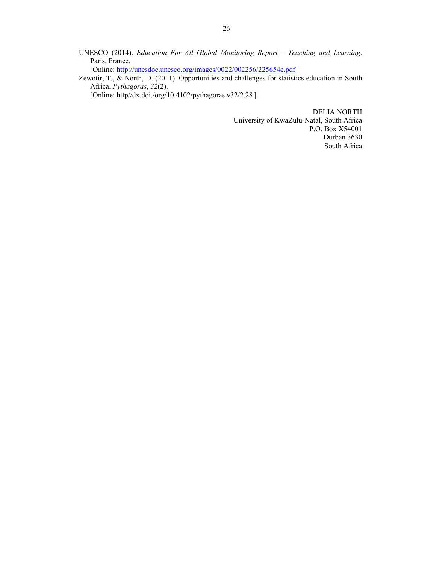UNESCO (2014). *Education For All Global Monitoring Report – Teaching and Learning*. Paris, France.

[Online: http://unesdoc.unesco.org/images/0022/002256/225654e.pdf]

Zewotir, T., & North, D. (2011). Opportunities and challenges for statistics education in South Africa. *Pythagoras*, *32*(2).

[Online: http//dx.doi./org/10.4102/pythagoras.v32/2.28 ]

DELIA NORTH University of KwaZulu-Natal, South Africa P.O. Box X54001 Durban 3630 South Africa